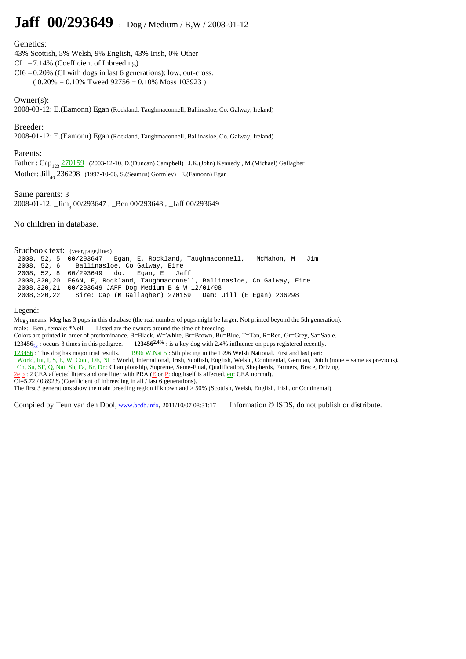## **Jaff 00/293649** : Dog / Medium / B,W / 2008-01-12

## Genetics:

43% Scottish, 5% Welsh, 9% English, 43% Irish, 0% Other

- $CI = 7.14\%$  (Coefficient of Inbreeding)
- $CI6 = 0.20\%$  (CI with dogs in last 6 generations): low, out-cross.

 $(0.20\% = 0.10\%$  Tweed 92756 + 0.10% Moss 103923)

Owner(s):

2008-03-12: E.(Eamonn) Egan (Rockland, Taughmaconnell, Ballinasloe, Co. Galway, Ireland)

Breeder:

2008-01-12: E.(Eamonn) Egan (Rockland, Taughmaconnell, Ballinasloe, Co. Galway, Ireland)

## Parents:

Father:  $Cap_{123}$   $\frac{270159}{270159}$  (2003-12-10, D.(Duncan) Campbell) J.K.(John) Kennedy , M.(Michael) Gallagher Mother:  $Jill_{40}$  236298 (1997-10-06, S.(Seamus) Gormley) E.(Eamonn) Egan

Same parents: 3 2008-01-12: \_Jim<sup>3</sup> 00/293647 , \_Ben 00/293648 , \_Jaff 00/293649

No children in database.

Studbook text: (year,page,line:)<br>2008, 52, 5: 00/293647 Egan, E, Rockland, Taughmaconnell, McMahon, M Jim 2008, 52, 6: Ballinasloe, Co Galway, Eire 2008, 52, 8: 00/293649 do. Egan, E Jaff 2008,320,20: EGAN, E, Rockland, Taughmaconnell, Ballinasloe, Co Galway, Eire 2008,320,21: 00/293649 JAFF Dog Medium B & W 12/01/08 Sire: Cap (M Gallagher) 270159

## Legend:

Meg<sub>3</sub> means: Meg has 3 pups in this database (the real number of pups might be larger. Not printed beyond the 5th generation).

male: \_Ben, female: \*Nell. Listed are the owners around the time of breeding.

Colors are printed in order of predominance. B=Black, W=White, Br=Brown, Bu=Blue, T=Tan, R=Red, Gr=Grey, Sa=Sable.

123456<sub>3x</sub>: occurs 3 times in this pedigree. **123456<sup>2.4%</sup>** : is a key dog with 2.4% influence on pups registered recently.<br><u>123456</u>: This dog has major trial results. **1996 W.Nat 5**: 5th placing in the 1996 Welsh Nationa

1996 W.Nat 5 : 5th placing in the 1996 Welsh National. First and last part: World, Int, I, S, E, W, Cont, DE, NL : World, International, Irish, Scottish, English, Welsh , Continental, German, Dutch (none = same as previous). Ch, Su, SF, Q, Nat, Sh, Fa, Br, Dr : Championship, Supreme, Seme-Final, Qualification, Shepherds, Farmers, Brace, Driving.

 $2e p : 2$  CEA affected litters and one litter with PRA ( $E \text{ or } P$ : dog itself is affected. en: CEA normal).

 $CI = 5.72 / 0.892%$  (Coefficient of Inbreeding in all / last 6 generations).

The first 3 generations show the main breeding region if known and > 50% (Scottish, Welsh, English, Irish, or Continental)

Compiled by Teun van den Dool, www.bcdb.info, 2011/10/07 08:31:17 Information © ISDS, do not publish or distribute.